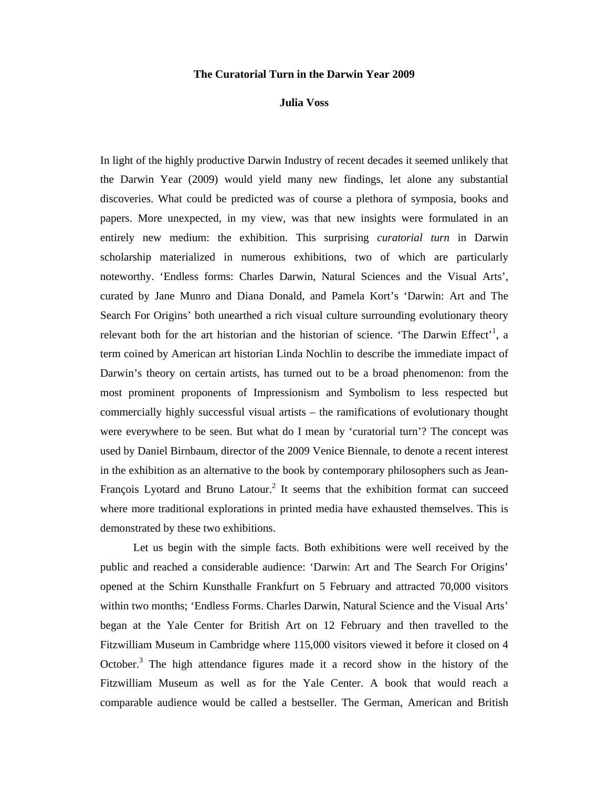## **The Curatorial Turn in the Darwin Year 2009**

## **Julia Voss**

In light of the highly productive Darwin Industry of recent decades it seemed unlikely that the Darwin Year (2009) would yield many new findings, let alone any substantial discoveries. What could be predicted was of course a plethora of symposia, books and papers. More unexpected, in my view, was that new insights were formulated in an entirely new medium: the exhibition. This surprising *curatorial turn* in Darwin scholarship materialized in numerous exhibitions, two of which are particularly noteworthy. 'Endless forms: Charles Darwin, Natural Sciences and the Visual Arts', curated by Jane Munro and Diana Donald, and Pamela Kort's 'Darwin: Art and The Search For Origins' both unearthed a rich visual culture surrounding evolutionary theory relevant both for the art historian and the historian of science. 'The Darwin Effect'<sup>1</sup>, a term coined by American art historian Linda Nochlin to describe the immediate impact of Darwin's theory on certain artists, has turned out to be a broad phenomenon: from the most prominent proponents of Impressionism and Symbolism to less respected but commercially highly successful visual artists – the ramifications of evolutionary thought were everywhere to be seen. But what do I mean by 'curatorial turn'? The concept was used by Daniel Birnbaum, director of the 2009 Venice Biennale, to denote a recent interest in the exhibition as an alternative to the book by contemporary philosophers such as Jean-François Lyotard and Bruno Latour.<sup>2</sup> It seems that the exhibition format can succeed where more traditional explorations in printed media have exhausted themselves. This is demonstrated by these two exhibitions.

Let us begin with the simple facts. Both exhibitions were well received by the public and reached a considerable audience: 'Darwin: Art and The Search For Origins' opened at the Schirn Kunsthalle Frankfurt on 5 February and attracted 70,000 visitors within two months; 'Endless Forms. Charles Darwin, Natural Science and the Visual Arts' began at the Yale Center for British Art on 12 February and then travelled to the Fitzwilliam Museum in Cambridge where 115,000 visitors viewed it before it closed on 4 October. $3$  The high attendance figures made it a record show in the history of the Fitzwilliam Museum as well as for the Yale Center. A book that would reach a comparable audience would be called a bestseller. The German, American and British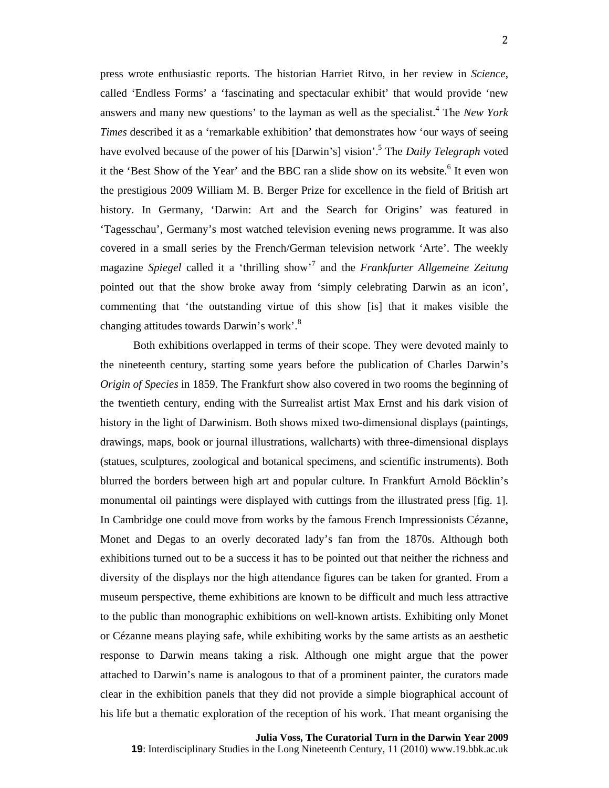press wrote enthusiastic reports. The historian Harriet Ritvo, in her review in *Science*, called 'Endless Forms' a 'fascinating and spectacular exhibit' that would provide 'new answers and many new questions' to the layman as well as the specialist.<sup>4</sup> The *New York Times* described it as a 'remarkable exhibition' that demonstrates how 'our ways of seeing have evolved because of the power of his [Darwin's] vision'.<sup>5</sup> The *Daily Telegraph* voted it the 'Best Show of the Year' and the BBC ran a slide show on its website.<sup>6</sup> It even won the prestigious 2009 William M. B. Berger Prize for excellence in the field of British art history. In Germany, 'Darwin: Art and the Search for Origins' was featured in 'Tagesschau', Germany's most watched television evening news programme. It was also covered in a small series by the French/German television network 'Arte'. The weekly magazine *Spiegel* called it a 'thrilling show'7 and the *Frankfurter Allgemeine Zeitung* pointed out that the show broke away from 'simply celebrating Darwin as an icon', commenting that 'the outstanding virtue of this show [is] that it makes visible the changing attitudes towards Darwin's work'.<sup>8</sup>

Both exhibitions overlapped in terms of their scope. They were devoted mainly to the nineteenth century, starting some years before the publication of Charles Darwin's *Origin of Species* in 1859. The Frankfurt show also covered in two rooms the beginning of the twentieth century, ending with the Surrealist artist Max Ernst and his dark vision of history in the light of Darwinism. Both shows mixed two-dimensional displays (paintings, drawings, maps, book or journal illustrations, wallcharts) with three-dimensional displays (statues, sculptures, zoological and botanical specimens, and scientific instruments). Both blurred the borders between high art and popular culture. In Frankfurt Arnold Böcklin's monumental oil paintings were displayed with cuttings from the illustrated press [fig. 1]. In Cambridge one could move from works by the famous French Impressionists Cézanne, Monet and Degas to an overly decorated lady's fan from the 1870s. Although both exhibitions turned out to be a success it has to be pointed out that neither the richness and diversity of the displays nor the high attendance figures can be taken for granted. From a museum perspective, theme exhibitions are known to be difficult and much less attractive to the public than monographic exhibitions on well-known artists. Exhibiting only Monet or Cézanne means playing safe, while exhibiting works by the same artists as an aesthetic response to Darwin means taking a risk. Although one might argue that the power attached to Darwin's name is analogous to that of a prominent painter, the curators made clear in the exhibition panels that they did not provide a simple biographical account of his life but a thematic exploration of the reception of his work. That meant organising the

**Julia Voss, The Curatorial Turn in the Darwin Year 2009 19**: Interdisciplinary Studies in the Long Nineteenth Century, 11 (2010) www.19.bbk.ac.uk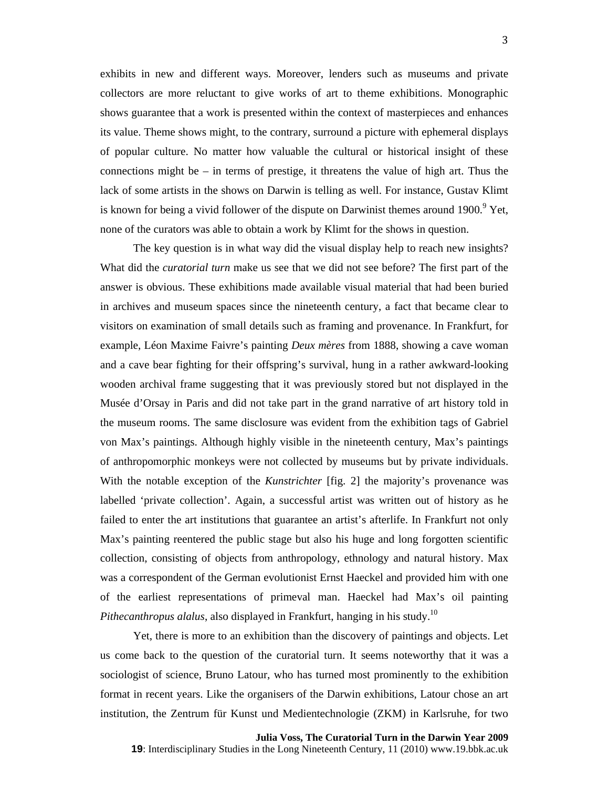exhibits in new and different ways. Moreover, lenders such as museums and private collectors are more reluctant to give works of art to theme exhibitions. Monographic shows guarantee that a work is presented within the context of masterpieces and enhances its value. Theme shows might, to the contrary, surround a picture with ephemeral displays of popular culture. No matter how valuable the cultural or historical insight of these connections might be  $-$  in terms of prestige, it threatens the value of high art. Thus the lack of some artists in the shows on Darwin is telling as well. For instance, Gustav Klimt is known for being a vivid follower of the dispute on Darwinist themes around  $1900$ .<sup>9</sup> Yet, none of the curators was able to obtain a work by Klimt for the shows in question.

The key question is in what way did the visual display help to reach new insights? What did the *curatorial turn* make us see that we did not see before? The first part of the answer is obvious. These exhibitions made available visual material that had been buried in archives and museum spaces since the nineteenth century, a fact that became clear to visitors on examination of small details such as framing and provenance. In Frankfurt, for example, Léon Maxime Faivre's painting *Deux mères* from 1888, showing a cave woman and a cave bear fighting for their offspring's survival, hung in a rather awkward-looking wooden archival frame suggesting that it was previously stored but not displayed in the Musée d'Orsay in Paris and did not take part in the grand narrative of art history told in the museum rooms. The same disclosure was evident from the exhibition tags of Gabriel von Max's paintings. Although highly visible in the nineteenth century, Max's paintings of anthropomorphic monkeys were not collected by museums but by private individuals. With the notable exception of the *Kunstrichter* [fig. 2] the majority's provenance was labelled 'private collection'. Again, a successful artist was written out of history as he failed to enter the art institutions that guarantee an artist's afterlife. In Frankfurt not only Max's painting reentered the public stage but also his huge and long forgotten scientific collection, consisting of objects from anthropology, ethnology and natural history. Max was a correspondent of the German evolutionist Ernst Haeckel and provided him with one of the earliest representations of primeval man. Haeckel had Max's oil painting *Pithecanthropus alalus*, also displayed in Frankfurt, hanging in his study.<sup>10</sup>

Yet, there is more to an exhibition than the discovery of paintings and objects. Let us come back to the question of the curatorial turn. It seems noteworthy that it was a sociologist of science, Bruno Latour, who has turned most prominently to the exhibition format in recent years. Like the organisers of the Darwin exhibitions, Latour chose an art institution, the Zentrum für Kunst und Medientechnologie (ZKM) in Karlsruhe, for two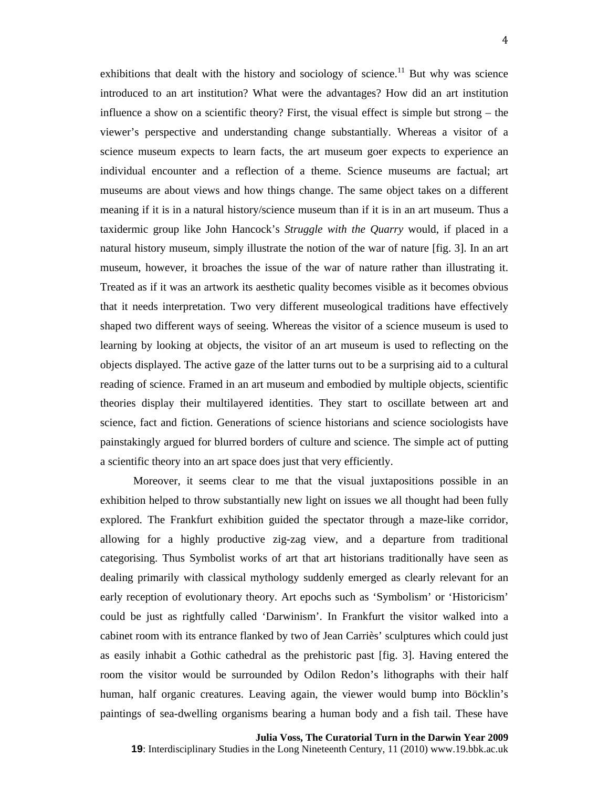exhibitions that dealt with the history and sociology of science.<sup>11</sup> But why was science introduced to an art institution? What were the advantages? How did an art institution influence a show on a scientific theory? First, the visual effect is simple but strong – the viewer's perspective and understanding change substantially. Whereas a visitor of a science museum expects to learn facts, the art museum goer expects to experience an individual encounter and a reflection of a theme. Science museums are factual; art museums are about views and how things change. The same object takes on a different meaning if it is in a natural history/science museum than if it is in an art museum. Thus a taxidermic group like John Hancock's *Struggle with the Quarry* would, if placed in a natural history museum, simply illustrate the notion of the war of nature [fig. 3]. In an art museum, however, it broaches the issue of the war of nature rather than illustrating it. Treated as if it was an artwork its aesthetic quality becomes visible as it becomes obvious that it needs interpretation. Two very different museological traditions have effectively shaped two different ways of seeing. Whereas the visitor of a science museum is used to learning by looking at objects, the visitor of an art museum is used to reflecting on the objects displayed. The active gaze of the latter turns out to be a surprising aid to a cultural reading of science. Framed in an art museum and embodied by multiple objects, scientific theories display their multilayered identities. They start to oscillate between art and science, fact and fiction. Generations of science historians and science sociologists have painstakingly argued for blurred borders of culture and science. The simple act of putting a scientific theory into an art space does just that very efficiently.

Moreover, it seems clear to me that the visual juxtapositions possible in an exhibition helped to throw substantially new light on issues we all thought had been fully explored. The Frankfurt exhibition guided the spectator through a maze-like corridor, allowing for a highly productive zig-zag view, and a departure from traditional categorising. Thus Symbolist works of art that art historians traditionally have seen as dealing primarily with classical mythology suddenly emerged as clearly relevant for an early reception of evolutionary theory. Art epochs such as 'Symbolism' or 'Historicism' could be just as rightfully called 'Darwinism'. In Frankfurt the visitor walked into a cabinet room with its entrance flanked by two of Jean Carriès' sculptures which could just as easily inhabit a Gothic cathedral as the prehistoric past [fig. 3]. Having entered the room the visitor would be surrounded by Odilon Redon's lithographs with their half human, half organic creatures. Leaving again, the viewer would bump into Böcklin's paintings of sea-dwelling organisms bearing a human body and a fish tail. These have

**Julia Voss, The Curatorial Turn in the Darwin Year 2009 19**: Interdisciplinary Studies in the Long Nineteenth Century, 11 (2010) www.19.bbk.ac.uk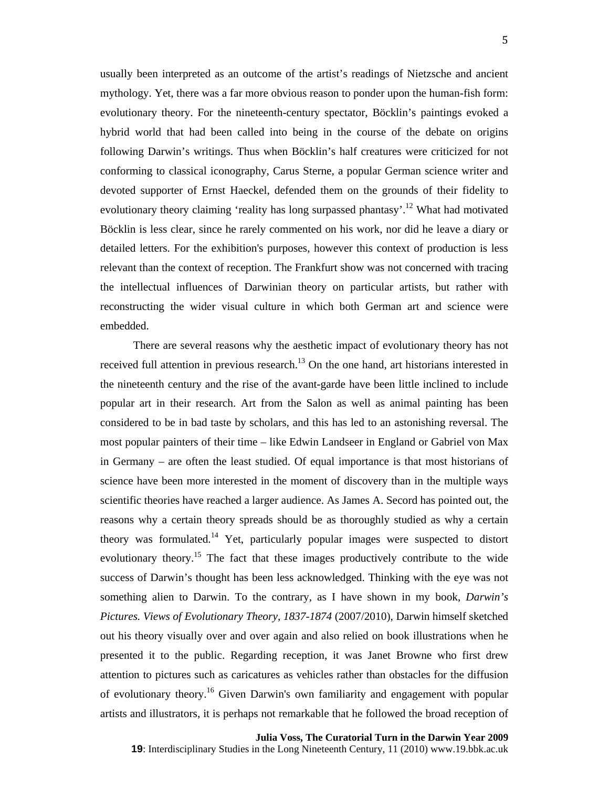usually been interpreted as an outcome of the artist's readings of Nietzsche and ancient mythology. Yet, there was a far more obvious reason to ponder upon the human-fish form: evolutionary theory. For the nineteenth-century spectator, Böcklin's paintings evoked a hybrid world that had been called into being in the course of the debate on origins following Darwin's writings. Thus when Böcklin's half creatures were criticized for not conforming to classical iconography, Carus Sterne, a popular German science writer and devoted supporter of Ernst Haeckel, defended them on the grounds of their fidelity to evolutionary theory claiming 'reality has long surpassed phantasy'.<sup>12</sup> What had motivated Böcklin is less clear, since he rarely commented on his work, nor did he leave a diary or detailed letters. For the exhibition's purposes, however this context of production is less relevant than the context of reception. The Frankfurt show was not concerned with tracing the intellectual influences of Darwinian theory on particular artists, but rather with reconstructing the wider visual culture in which both German art and science were embedded.

There are several reasons why the aesthetic impact of evolutionary theory has not received full attention in previous research.<sup>13</sup> On the one hand, art historians interested in the nineteenth century and the rise of the avant-garde have been little inclined to include popular art in their research. Art from the Salon as well as animal painting has been considered to be in bad taste by scholars, and this has led to an astonishing reversal. The most popular painters of their time – like Edwin Landseer in England or Gabriel von Max in Germany – are often the least studied. Of equal importance is that most historians of science have been more interested in the moment of discovery than in the multiple ways scientific theories have reached a larger audience. As James A. Secord has pointed out, the reasons why a certain theory spreads should be as thoroughly studied as why a certain theory was formulated.<sup>14</sup> Yet, particularly popular images were suspected to distort evolutionary theory.<sup>15</sup> The fact that these images productively contribute to the wide success of Darwin's thought has been less acknowledged. Thinking with the eye was not something alien to Darwin. To the contrary, as I have shown in my book, *Darwin's Pictures. Views of Evolutionary Theory, 1837-1874* (2007/2010), Darwin himself sketched out his theory visually over and over again and also relied on book illustrations when he presented it to the public. Regarding reception, it was Janet Browne who first drew attention to pictures such as caricatures as vehicles rather than obstacles for the diffusion of evolutionary theory.16 Given Darwin's own familiarity and engagement with popular artists and illustrators, it is perhaps not remarkable that he followed the broad reception of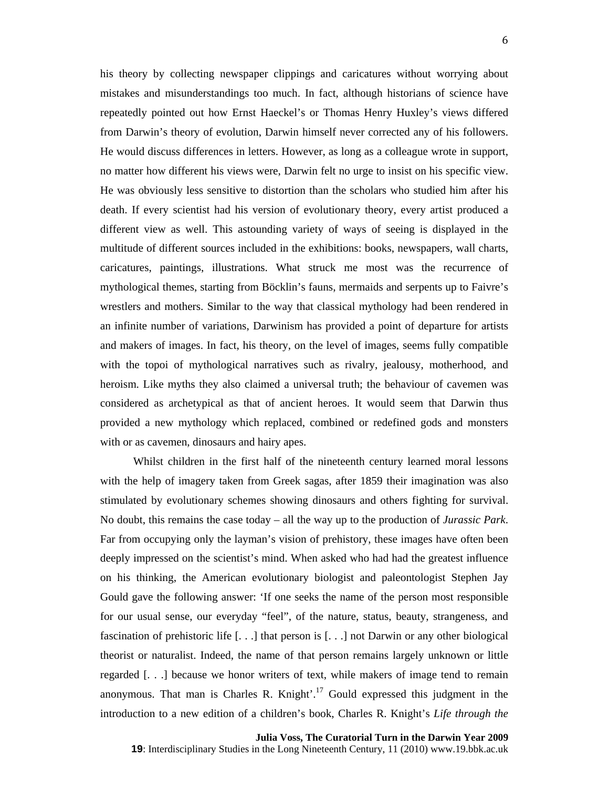his theory by collecting newspaper clippings and caricatures without worrying about mistakes and misunderstandings too much. In fact, although historians of science have repeatedly pointed out how Ernst Haeckel's or Thomas Henry Huxley's views differed from Darwin's theory of evolution, Darwin himself never corrected any of his followers. He would discuss differences in letters. However, as long as a colleague wrote in support, no matter how different his views were, Darwin felt no urge to insist on his specific view. He was obviously less sensitive to distortion than the scholars who studied him after his death. If every scientist had his version of evolutionary theory, every artist produced a different view as well. This astounding variety of ways of seeing is displayed in the multitude of different sources included in the exhibitions: books, newspapers, wall charts, caricatures, paintings, illustrations. What struck me most was the recurrence of mythological themes, starting from Böcklin's fauns, mermaids and serpents up to Faivre's wrestlers and mothers. Similar to the way that classical mythology had been rendered in an infinite number of variations, Darwinism has provided a point of departure for artists and makers of images. In fact, his theory, on the level of images, seems fully compatible with the topoi of mythological narratives such as rivalry, jealousy, motherhood, and heroism. Like myths they also claimed a universal truth; the behaviour of cavemen was considered as archetypical as that of ancient heroes. It would seem that Darwin thus provided a new mythology which replaced, combined or redefined gods and monsters with or as cavemen, dinosaurs and hairy apes.

Whilst children in the first half of the nineteenth century learned moral lessons with the help of imagery taken from Greek sagas, after 1859 their imagination was also stimulated by evolutionary schemes showing dinosaurs and others fighting for survival. No doubt, this remains the case today – all the way up to the production of *Jurassic Park*. Far from occupying only the layman's vision of prehistory, these images have often been deeply impressed on the scientist's mind. When asked who had had the greatest influence on his thinking, the American evolutionary biologist and paleontologist Stephen Jay Gould gave the following answer: 'If one seeks the name of the person most responsible for our usual sense, our everyday "feel", of the nature, status, beauty, strangeness, and fascination of prehistoric life [. . .] that person is [. . .] not Darwin or any other biological theorist or naturalist. Indeed, the name of that person remains largely unknown or little regarded [. . .] because we honor writers of text, while makers of image tend to remain anonymous. That man is Charles R. Knight'.<sup>17</sup> Gould expressed this judgment in the introduction to a new edition of a children's book, Charles R. Knight's *Life through the*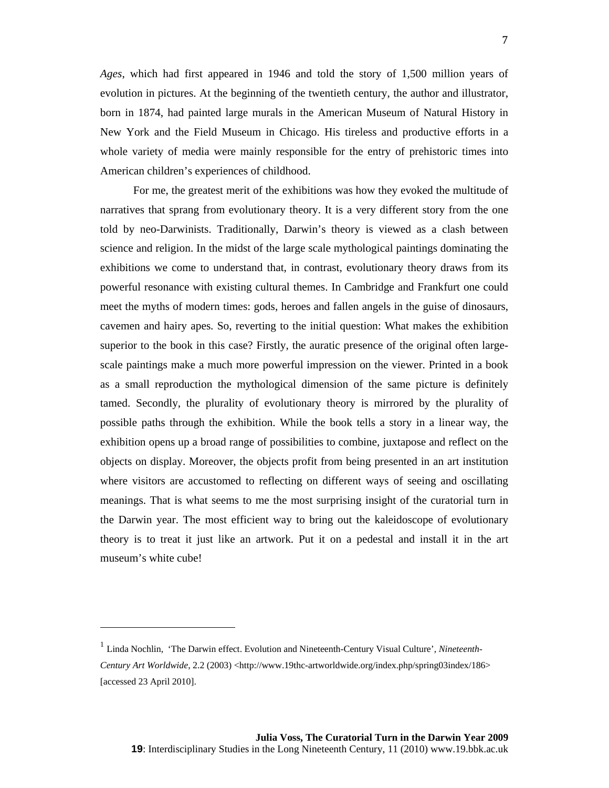*Ages*, which had first appeared in 1946 and told the story of 1,500 million years of evolution in pictures. At the beginning of the twentieth century, the author and illustrator, born in 1874, had painted large murals in the American Museum of Natural History in New York and the Field Museum in Chicago. His tireless and productive efforts in a whole variety of media were mainly responsible for the entry of prehistoric times into American children's experiences of childhood.

For me, the greatest merit of the exhibitions was how they evoked the multitude of narratives that sprang from evolutionary theory. It is a very different story from the one told by neo-Darwinists. Traditionally, Darwin's theory is viewed as a clash between science and religion. In the midst of the large scale mythological paintings dominating the exhibitions we come to understand that, in contrast, evolutionary theory draws from its powerful resonance with existing cultural themes. In Cambridge and Frankfurt one could meet the myths of modern times: gods, heroes and fallen angels in the guise of dinosaurs, cavemen and hairy apes. So, reverting to the initial question: What makes the exhibition superior to the book in this case? Firstly, the auratic presence of the original often largescale paintings make a much more powerful impression on the viewer. Printed in a book as a small reproduction the mythological dimension of the same picture is definitely tamed. Secondly, the plurality of evolutionary theory is mirrored by the plurality of possible paths through the exhibition. While the book tells a story in a linear way, the exhibition opens up a broad range of possibilities to combine, juxtapose and reflect on the objects on display. Moreover, the objects profit from being presented in an art institution where visitors are accustomed to reflecting on different ways of seeing and oscillating meanings. That is what seems to me the most surprising insight of the curatorial turn in the Darwin year. The most efficient way to bring out the kaleidoscope of evolutionary theory is to treat it just like an artwork. Put it on a pedestal and install it in the art museum's white cube!

<sup>&</sup>lt;sup>1</sup> Linda Nochlin, 'The Darwin effect. Evolution and Nineteenth-Century Visual Culture', *Nineteenth*-*Century Art Worldwide*, 2.2 (2003) <http://www.19thc-artworldwide.org/index.php/spring03index/186> [accessed 23 April 2010].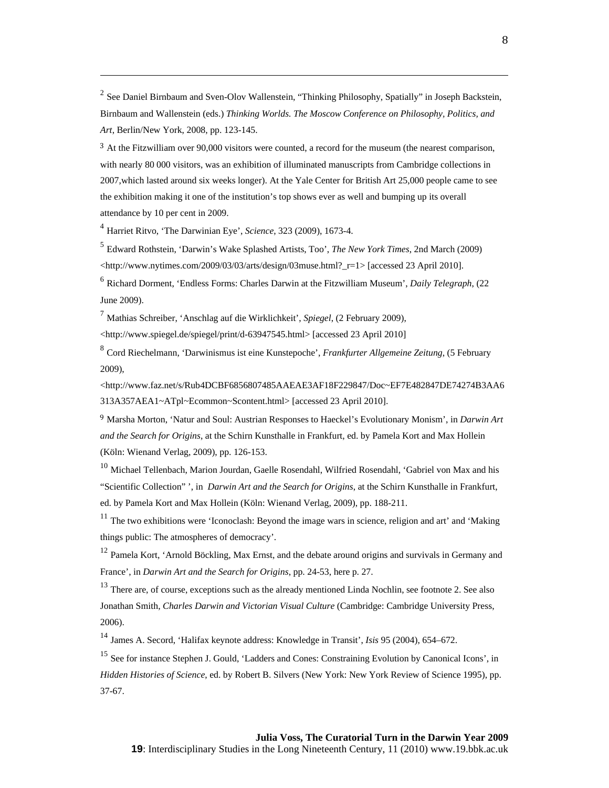<sup>2</sup> See Daniel Birnbaum and Sven-Olov Wallenstein, "Thinking Philosophy, Spatially" in Joseph Backstein, Birnbaum and Wallenstein (eds.) *Thinking Worlds. The Moscow Conference on Philosophy, Politics, and Art*, Berlin/New York, 2008, pp. 123-145.

<u> Andreas Andrews Andrews Andrews Andrews Andrews Andrews Andrews Andrews Andrews Andrews Andrews Andrews Andr</u>

<sup>3</sup> At the Fitzwilliam over 90,000 visitors were counted, a record for the museum (the nearest comparison, with nearly 80 000 visitors, was an exhibition of illuminated manuscripts from Cambridge collections in 2007,which lasted around six weeks longer). At the Yale Center for British Art 25,000 people came to see the exhibition making it one of the institution's top shows ever as well and bumping up its overall attendance by 10 per cent in 2009.

<sup>4</sup> Harriet Ritvo, 'The Darwinian Eye', *Science*, 323 (2009), 1673-4.

<sup>5</sup> Edward Rothstein, 'Darwin's Wake Splashed Artists, Too', *The New York Times*, 2nd March (2009)  $\lt$ http://www.nytimes.com/2009/03/03/arts/design/03muse.html?\_r=1> [accessed 23 April 2010].

<sup>6</sup> Richard Dorment, 'Endless Forms: Charles Darwin at the Fitzwilliam Museum', *Daily Telegraph*, (22 June 2009).

<sup>7</sup> Mathias Schreiber, 'Anschlag auf die Wirklichkeit', *Spiegel*, (2 February 2009),

<http://www.spiegel.de/spiegel/print/d-63947545.html> [accessed 23 April 2010]

<sup>8</sup> Cord Riechelmann, 'Darwinismus ist eine Kunstepoche', *Frankfurter Allgemeine Zeitung*, (5 February 2009),

<http://www.faz.net/s/Rub4DCBF6856807485AAEAE3AF18F229847/Doc~EF7E482847DE74274B3AA6 313A357AEA1~ATpl~Ecommon~Scontent.html> [accessed 23 April 2010].

<sup>9</sup> Marsha Morton, 'Natur and Soul: Austrian Responses to Haeckel's Evolutionary Monism', in *Darwin Art and the Search for Origins*, at the Schirn Kunsthalle in Frankfurt, ed. by Pamela Kort and Max Hollein (Köln: Wienand Verlag, 2009), pp. 126-153.

<sup>10</sup> Michael Tellenbach, Marion Jourdan, Gaelle Rosendahl, Wilfried Rosendahl, 'Gabriel von Max and his "Scientific Collection" ', in *Darwin Art and the Search for Origins*, at the Schirn Kunsthalle in Frankfurt, ed. by Pamela Kort and Max Hollein (Köln: Wienand Verlag, 2009), pp. 188-211.

 $11$  The two exhibitions were 'Iconoclash: Beyond the image wars in science, religion and art' and 'Making things public: The atmospheres of democracy'.

<sup>12</sup> Pamela Kort, 'Arnold Böckling, Max Ernst, and the debate around origins and survivals in Germany and France', in *Darwin Art and the Search for Origins*, pp. 24-53, here p. 27.

<sup>13</sup> There are, of course, exceptions such as the already mentioned Linda Nochlin, see footnote 2. See also Jonathan Smith, *Charles Darwin and Victorian Visual Culture* (Cambridge: Cambridge University Press, 2006).

<sup>14</sup> James A. Secord, 'Halifax keynote address: Knowledge in Transit', *Isis* 95 (2004), 654–672.

<sup>15</sup> See for instance Stephen J. Gould, 'Ladders and Cones: Constraining Evolution by Canonical Icons', in *Hidden Histories of Science*, ed. by Robert B. Silvers (New York: New York Review of Science 1995), pp. 37-67.